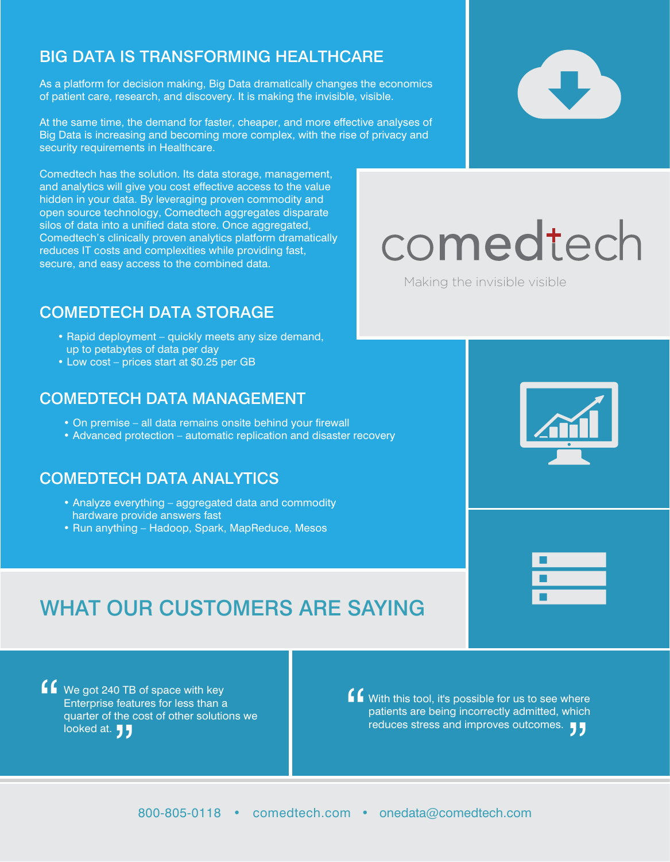# BIG DATA IS TRANSFORMING HEALTHCARE

As a platform for decision making, Big Data dramatically changes the economics of patient care, research, and discovery. It is making the invisible, visible.

At the same time, the demand for faster, cheaper, and more effective analyses of Big Data is increasing and becoming more complex, with the rise of privacy and security requirements in Healthcare.

Comedtech has the solution. Its data storage, management, and analytics will give you cost effective access to the value hidden in your data. By leveraging proven commodity and open source technology, Comedtech aggregates disparate silos of data into a unified data store. Once aggregated, Comedtech's clinically proven analytics platform dramatically reduces IT costs and complexities while providing fast, secure, and easy access to the combined data.

# COMEDTECH DATA STORAGE

- Rapid deployment quickly meets any size demand, up to petabytes of data per day
- Low cost prices start at \$0.25 per GB

# COMEDTECH DATA MANAGEMENT

- On premise all data remains onsite behind your firewall
- Advanced protection automatic replication and disaster recovery

# COMEDTECH DATA ANALYTICS

- Analyze everything aggregated data and commodity hardware provide answers fast
- Run anything Hadoop, Spark, MapReduce, Mesos



" looked at. **JJ** We got 240 TB of space with key Enterprise features for less than a quarter of the cost of other solutions we

" reduces stress and improves outcomes.  $\bigcup$ With this tool, it's possible for us to see where patients are being incorrectly admitted, which

# comedtech

Making the invisible visible